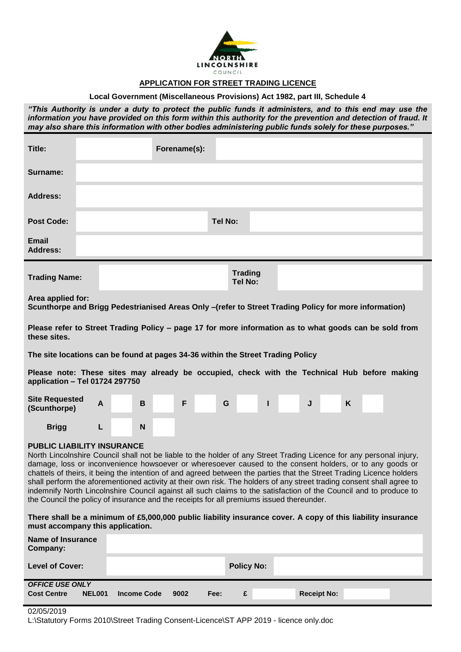

# **APPLICATION FOR STREET TRADING LICENCE**

## **Local Government (Miscellaneous Provisions) Act 1982, part III, Schedule 4**

*"This Authority is under a duty to protect the public funds it administers, and to this end may use the information you have provided on this form within this authority for the prevention and detection of fraud. It may also share this information with other bodies administering public funds solely for these purposes."*

| Title:                                                                                                                                                                                                                                                                                                                                                                                                                                                                                                                                                                                                                                                                                                                                 |                                                                                                                            |   |  |   | Forename(s): |   |  |                |                                  |   |   |   |  |  |
|----------------------------------------------------------------------------------------------------------------------------------------------------------------------------------------------------------------------------------------------------------------------------------------------------------------------------------------------------------------------------------------------------------------------------------------------------------------------------------------------------------------------------------------------------------------------------------------------------------------------------------------------------------------------------------------------------------------------------------------|----------------------------------------------------------------------------------------------------------------------------|---|--|---|--------------|---|--|----------------|----------------------------------|---|---|---|--|--|
| Surname:                                                                                                                                                                                                                                                                                                                                                                                                                                                                                                                                                                                                                                                                                                                               |                                                                                                                            |   |  |   |              |   |  |                |                                  |   |   |   |  |  |
| <b>Address:</b>                                                                                                                                                                                                                                                                                                                                                                                                                                                                                                                                                                                                                                                                                                                        |                                                                                                                            |   |  |   |              |   |  |                |                                  |   |   |   |  |  |
| <b>Post Code:</b>                                                                                                                                                                                                                                                                                                                                                                                                                                                                                                                                                                                                                                                                                                                      |                                                                                                                            |   |  |   |              |   |  | <b>Tel No:</b> |                                  |   |   |   |  |  |
| <b>Email</b><br><b>Address:</b>                                                                                                                                                                                                                                                                                                                                                                                                                                                                                                                                                                                                                                                                                                        |                                                                                                                            |   |  |   |              |   |  |                |                                  |   |   |   |  |  |
| <b>Trading Name:</b>                                                                                                                                                                                                                                                                                                                                                                                                                                                                                                                                                                                                                                                                                                                   |                                                                                                                            |   |  |   |              |   |  |                | <b>Trading</b><br><b>Tel No:</b> |   |   |   |  |  |
|                                                                                                                                                                                                                                                                                                                                                                                                                                                                                                                                                                                                                                                                                                                                        | Area applied for:<br>Scunthorpe and Brigg Pedestrianised Areas Only -(refer to Street Trading Policy for more information) |   |  |   |              |   |  |                |                                  |   |   |   |  |  |
| Please refer to Street Trading Policy – page 17 for more information as to what goods can be sold from<br>these sites.                                                                                                                                                                                                                                                                                                                                                                                                                                                                                                                                                                                                                 |                                                                                                                            |   |  |   |              |   |  |                |                                  |   |   |   |  |  |
| The site locations can be found at pages 34-36 within the Street Trading Policy                                                                                                                                                                                                                                                                                                                                                                                                                                                                                                                                                                                                                                                        |                                                                                                                            |   |  |   |              |   |  |                |                                  |   |   |   |  |  |
| Please note: These sites may already be occupied, check with the Technical Hub before making<br>application - Tel 01724 297750                                                                                                                                                                                                                                                                                                                                                                                                                                                                                                                                                                                                         |                                                                                                                            |   |  |   |              |   |  |                |                                  |   |   |   |  |  |
| <b>Site Requested</b><br>(Scunthorpe)                                                                                                                                                                                                                                                                                                                                                                                                                                                                                                                                                                                                                                                                                                  |                                                                                                                            | A |  | B |              | F |  | G              |                                  | ı | J | K |  |  |
| <b>Brigg</b>                                                                                                                                                                                                                                                                                                                                                                                                                                                                                                                                                                                                                                                                                                                           |                                                                                                                            | L |  | N |              |   |  |                |                                  |   |   |   |  |  |
| <b>PUBLIC LIABILITY INSURANCE</b><br>North Lincolnshire Council shall not be liable to the holder of any Street Trading Licence for any personal injury,<br>damage, loss or inconvenience howsoever or wheresoever caused to the consent holders, or to any goods or<br>chattels of theirs, it being the intention of and agreed between the parties that the Street Trading Licence holders<br>shall perform the aforementioned activity at their own risk. The holders of any street trading consent shall agree to<br>indemnify North Lincolnshire Council against all such claims to the satisfaction of the Council and to produce to<br>the Council the policy of insurance and the receipts for all premiums issued thereunder. |                                                                                                                            |   |  |   |              |   |  |                |                                  |   |   |   |  |  |
| There shall be a minimum of £5,000,000 public liability insurance cover. A copy of this liability insurance<br>must accompany this application.                                                                                                                                                                                                                                                                                                                                                                                                                                                                                                                                                                                        |                                                                                                                            |   |  |   |              |   |  |                |                                  |   |   |   |  |  |
| <b>Name of Insurance</b><br>Company:                                                                                                                                                                                                                                                                                                                                                                                                                                                                                                                                                                                                                                                                                                   |                                                                                                                            |   |  |   |              |   |  |                |                                  |   |   |   |  |  |

| <b>UUIIIµaIII</b> .    |        |                    |      |      |                   |                    |  |
|------------------------|--------|--------------------|------|------|-------------------|--------------------|--|
| <b>Level of Cover:</b> |        |                    |      |      | <b>Policy No:</b> |                    |  |
| <b>OFFICE USE ONLY</b> |        |                    |      |      |                   |                    |  |
| <b>Cost Centre</b>     | NEL001 | <b>Income Code</b> | 9002 | Fee: | £.                | <b>Receipt No:</b> |  |

#### 02/05/2019

L:\Statutory Forms 2010\Street Trading Consent-Licence\ST APP 2019 - licence only.doc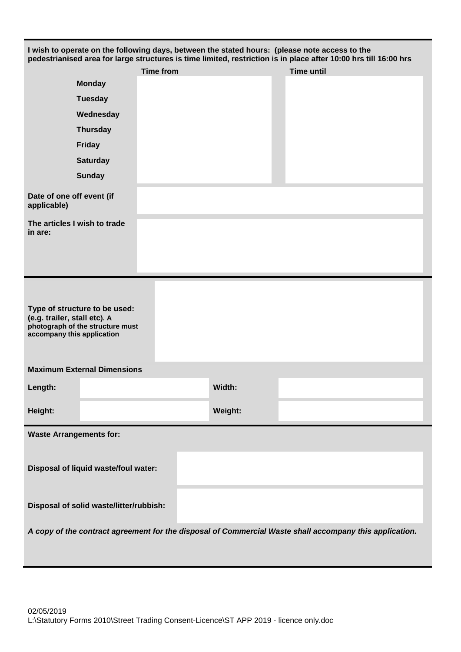| <b>Monday</b>                                                                                                                   |                  |         | pedestrianised area for large structures is time limited, restriction is in place after 10:00 hrs till 16:00 hrs |  |  |  |  |
|---------------------------------------------------------------------------------------------------------------------------------|------------------|---------|------------------------------------------------------------------------------------------------------------------|--|--|--|--|
|                                                                                                                                 | <b>Time from</b> |         | <b>Time until</b>                                                                                                |  |  |  |  |
|                                                                                                                                 |                  |         |                                                                                                                  |  |  |  |  |
| <b>Tuesday</b>                                                                                                                  |                  |         |                                                                                                                  |  |  |  |  |
| Wednesday                                                                                                                       |                  |         |                                                                                                                  |  |  |  |  |
| <b>Thursday</b>                                                                                                                 |                  |         |                                                                                                                  |  |  |  |  |
| <b>Friday</b>                                                                                                                   |                  |         |                                                                                                                  |  |  |  |  |
| <b>Saturday</b>                                                                                                                 |                  |         |                                                                                                                  |  |  |  |  |
| <b>Sunday</b>                                                                                                                   |                  |         |                                                                                                                  |  |  |  |  |
| Date of one off event (if<br>applicable)                                                                                        |                  |         |                                                                                                                  |  |  |  |  |
| The articles I wish to trade<br>in are:                                                                                         |                  |         |                                                                                                                  |  |  |  |  |
|                                                                                                                                 |                  |         |                                                                                                                  |  |  |  |  |
|                                                                                                                                 |                  |         |                                                                                                                  |  |  |  |  |
| Type of structure to be used:<br>(e.g. trailer, stall etc). A<br>photograph of the structure must<br>accompany this application |                  |         |                                                                                                                  |  |  |  |  |
| <b>Maximum External Dimensions</b>                                                                                              |                  |         |                                                                                                                  |  |  |  |  |
| Length:                                                                                                                         |                  | Width:  |                                                                                                                  |  |  |  |  |
| Height:                                                                                                                         |                  | Weight: |                                                                                                                  |  |  |  |  |
| <b>Waste Arrangements for:</b>                                                                                                  |                  |         |                                                                                                                  |  |  |  |  |
|                                                                                                                                 |                  |         |                                                                                                                  |  |  |  |  |
| Disposal of liquid waste/foul water:                                                                                            |                  |         |                                                                                                                  |  |  |  |  |
| Disposal of solid waste/litter/rubbish:                                                                                         |                  |         |                                                                                                                  |  |  |  |  |